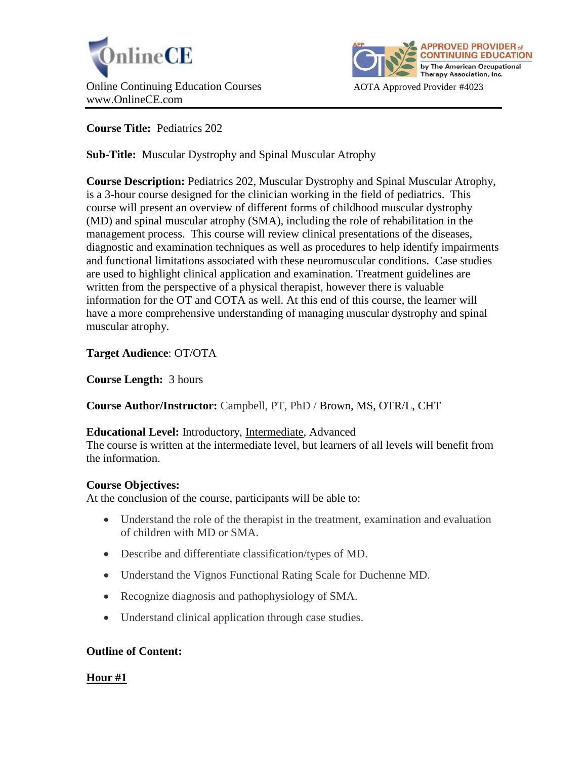



**Course Title:** Pediatrics 202

**Sub-Title:** Muscular Dystrophy and Spinal Muscular Atrophy

**Course Description:** Pediatrics 202, Muscular Dystrophy and Spinal Muscular Atrophy, is a 3-hour course designed for the clinician working in the field of pediatrics. This course will present an overview of different forms of childhood muscular dystrophy (MD) and spinal muscular atrophy (SMA), including the role of rehabilitation in the management process. This course will review clinical presentations of the diseases, diagnostic and examination techniques as well as procedures to help identify impairments and functional limitations associated with these neuromuscular conditions. Case studies are used to highlight clinical application and examination. Treatment guidelines are written from the perspective of a physical therapist, however there is valuable information for the OT and COTA as well. At this end of this course, the learner will have a more comprehensive understanding of managing muscular dystrophy and spinal muscular atrophy.

**Target Audience**: OT/OTA

**Course Length:** 3 hours

**Course Author/Instructor:** Campbell, PT, PhD / Brown, MS, OTR/L, CHT

# **Educational Level:** Introductory, Intermediate, Advanced

The course is written at the intermediate level, but learners of all levels will benefit from the information.

# **Course Objectives:**

At the conclusion of the course, participants will be able to:

- Understand the role of the therapist in the treatment, examination and evaluation of children with MD or SMA.
- Describe and differentiate classification/types of MD.
- Understand the Vignos Functional Rating Scale for Duchenne MD.
- Recognize diagnosis and pathophysiology of SMA.
- Understand clinical application through case studies.

# **Outline of Content:**

**Hour #1**